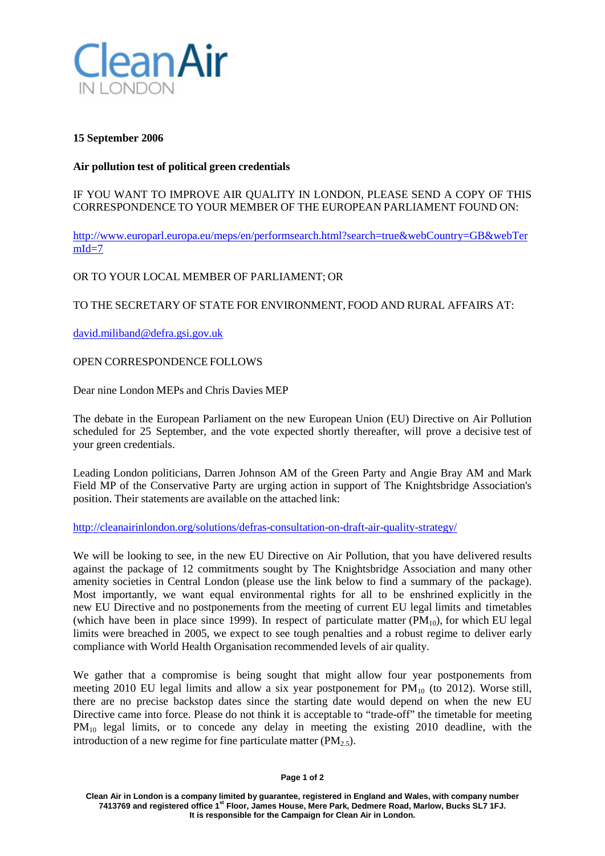

## **15 September 2006**

## **Air pollution test of political green credentials**

IF YOU WANT TO IMPROVE AIR QUALITY IN LONDON, PLEASE SEND A COPY OF THIS CORRESPONDENCE TO YOUR MEMBER OF THE EUROPEAN PARLIAMENT FOUND ON:

[http://www.europarl.europa.eu/meps/en/performsearch.html?search=true&webCountry=GB&webTer](http://www.europarl.europa.eu/meps/en/performsearch.html?search=true&webCountry=GB&webTermId=7)  $mId=7$ 

OR TO YOUR LOCAL MEMBER OF PARLIAMENT; OR

TO THE SECRETARY OF STATE FOR ENVIRONMENT, FOOD AND RURAL AFFAIRS AT:

[david.miliband@defra.gsi.gov.uk](mailto:david.miliband@defra.gsi.gov.uk)

OPEN CORRESPONDENCE FOLLOWS

Dear nine London MEPs and Chris Davies MEP

The debate in the European Parliament on the new European Union (EU) Directive on Air Pollution scheduled for 25 September, and the vote expected shortly thereafter, will prove a decisive test of your green credentials.

Leading London politicians, Darren Johnson AM of the Green Party and Angie Bray AM and Mark Field MP of the Conservative Party are urging action in support of The Knightsbridge Association's position. Their statements are available on the attached link:

<http://cleanairinlondon.org/solutions/defras-consultation-on-draft-air-quality-strategy/>

We will be looking to see, in the new EU Directive on Air Pollution, that you have delivered results against the package of 12 commitments sought by The Knightsbridge Association and many other amenity societies in Central London (please use the link below to find a summary of the package). Most importantly, we want equal environmental rights for all to be enshrined explicitly in the new EU Directive and no postponements from the meeting of current EU legal limits and timetables (which have been in place since 1999). In respect of particulate matter  $(PM_{10})$ , for which EU legal limits were breached in 2005, we expect to see tough penalties and a robust regime to deliver early compliance with World Health Organisation recommended levels of air quality.

We gather that a compromise is being sought that might allow four year postponements from meeting 2010 EU legal limits and allow a six year postponement for  $PM_{10}$  (to 2012). Worse still, there are no precise backstop dates since the starting date would depend on when the new EU Directive came into force. Please do not think it is acceptable to "trade-off" the timetable for meeting PM<sub>10</sub> legal limits, or to concede any delay in meeting the existing 2010 deadline, with the introduction of a new regime for fine particulate matter  $(PM_{2.5})$ .